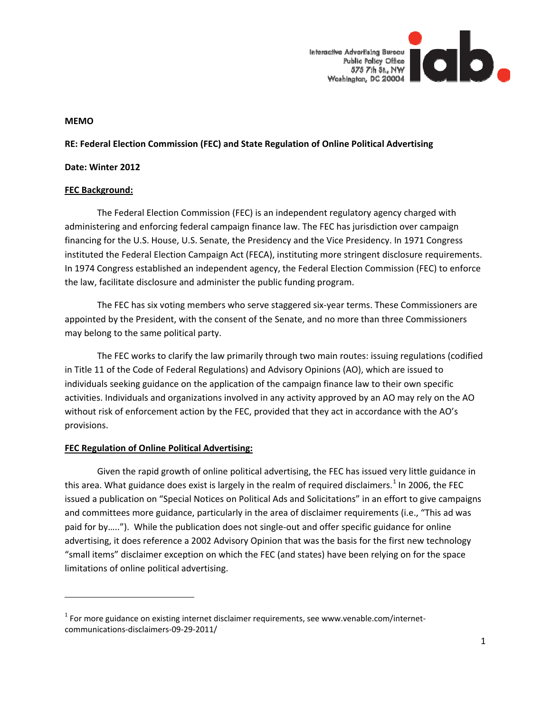

#### **MEMO**

## **RE: Federal Election Commission (FEC) and State Regulation of Online Political Advertising**

#### **Date: Winter 2012**

## **FEC Background:**

The Federal Election Commission (FEC) is an independent regulatory agency charged with administering and enforcing federal campaign finance law. The FEC has jurisdiction over campaign financing for the U.S. House, U.S. Senate, the Presidency and the Vice Presidency. In 1971 Congress instituted the Federal Election Campaign Act (FECA), instituting more stringent disclosure requirements. In 1974 Congress established an independent agency, the Federal Election Commission (FEC) to enforce the law, facilitate disclosure and administer the public funding program.

The FEC has six voting members who serve staggered six‐year terms. These Commissioners are appointed by the President, with the consent of the Senate, and no more than three Commissioners may belong to the same political party.

The FEC works to clarify the law primarily through two main routes: issuing regulations (codified in Title 11 of the Code of Federal Regulations) and Advisory Opinions (AO), which are issued to individuals seeking guidance on the application of the campaign finance law to their own specific activities. Individuals and organizations involved in any activity approved by an AO may rely on the AO without risk of enforcement action by the FEC, provided that they act in accordance with the AO's provisions.

## **FEC Regulation of Online Political Advertising:**

Given the rapid growth of online political advertising, the FEC has issued very little guidance in this area. What guidance does exist is largely in the realm of required disclaimers.<sup>[1](#page-0-0)</sup> In 2006, the FEC issued a publication on "Special Notices on Political Ads and Solicitations" in an effort to give campaigns and committees more guidance, particularly in the area of disclaimer requirements (i.e., "This ad was paid for by….."). While the publication does not single‐out and offer specific guidance for online advertising, it does reference a 2002 Advisory Opinion that was the basis for the first new technology "small items" disclaimer exception on which the FEC (and states) have been relying on for the space limitations of online political advertising.

<span id="page-0-0"></span> $1$  For more guidance on existing internet disclaimer requirements, see www.venable.com/internetcommunications‐disclaimers‐09‐29‐2011/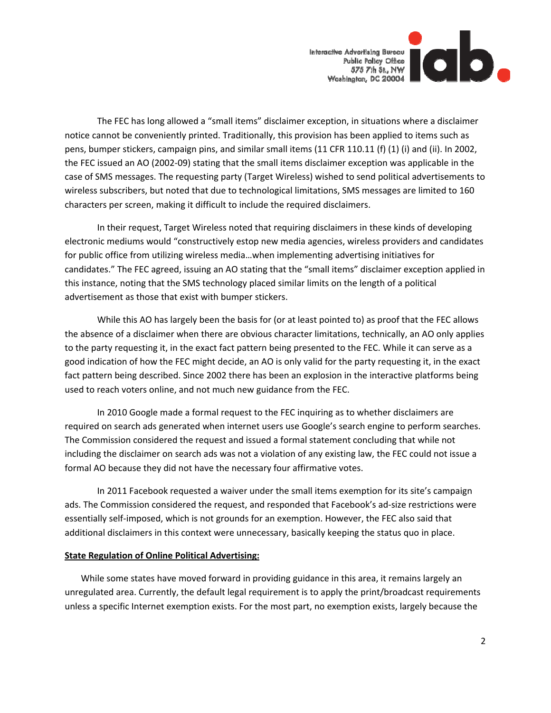

The FEC has long allowed a "small items" disclaimer exception, in situations where a disclaimer notice cannot be conveniently printed. Traditionally, this provision has been applied to items such as pens, bumper stickers, campaign pins, and similar small items (11 CFR 110.11 (f) (1) (i) and (ii). In 2002, the FEC issued an AO (2002‐09) stating that the small items disclaimer exception was applicable in the case of SMS messages. The requesting party (Target Wireless) wished to send political advertisements to wireless subscribers, but noted that due to technological limitations, SMS messages are limited to 160 characters per screen, making it difficult to include the required disclaimers.

In their request, Target Wireless noted that requiring disclaimers in these kinds of developing electronic mediums would "constructively estop new media agencies, wireless providers and candidates for public office from utilizing wireless media…when implementing advertising initiatives for candidates." The FEC agreed, issuing an AO stating that the "small items" disclaimer exception applied in this instance, noting that the SMS technology placed similar limits on the length of a political advertisement as those that exist with bumper stickers.

While this AO has largely been the basis for (or at least pointed to) as proof that the FEC allows the absence of a disclaimer when there are obvious character limitations, technically, an AO only applies to the party requesting it, in the exact fact pattern being presented to the FEC. While it can serve as a good indication of how the FEC might decide, an AO is only valid for the party requesting it, in the exact fact pattern being described. Since 2002 there has been an explosion in the interactive platforms being used to reach voters online, and not much new guidance from the FEC.

In 2010 Google made a formal request to the FEC inquiring as to whether disclaimers are required on search ads generated when internet users use Google's search engine to perform searches. The Commission considered the request and issued a formal statement concluding that while not including the disclaimer on search ads was not a violation of any existing law, the FEC could not issue a formal AO because they did not have the necessary four affirmative votes.

In 2011 Facebook requested a waiver under the small items exemption for its site's campaign ads. The Commission considered the request, and responded that Facebook's ad-size restrictions were essentially self-imposed, which is not grounds for an exemption. However, the FEC also said that additional disclaimers in this context were unnecessary, basically keeping the status quo in place.

#### **State Regulation of Online Political Advertising:**

While some states have moved forward in providing guidance in this area, it remains largely an unregulated area. Currently, the default legal requirement is to apply the print/broadcast requirements unless a specific Internet exemption exists. For the most part, no exemption exists, largely because the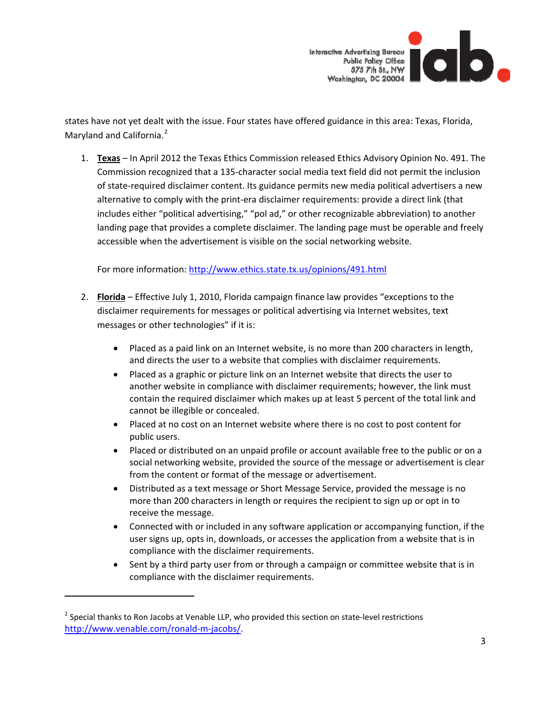

states have not yet dealt with the issue. Four states have offered guidance in this area: Texas, Florida, Maryland and California.<sup>[2](#page-2-0)</sup>

1. **Texas** – In April 2012 the Texas Ethics Commission released Ethics Advisory Opinion No. 491. The Commission recognized that a 135‐character social media text field did not permit the inclusion of state‐required disclaimer content. Its guidance permits new media political advertisers a new alternative to comply with the print‐era disclaimer requirements: provide a direct link (that includes either "political advertising," "pol ad," or other recognizable abbreviation) to another landing page that provides a complete disclaimer. The landing page must be operable and freely accessible when the advertisement is visible on the social networking website.

For more information: <http://www.ethics.state.tx.us/opinions/491.html>

- 2. **Florida** Effective July 1, 2010, Florida campaign finance law provides "exceptions to the disclaimer requirements for messages or political advertising via Internet websites, text messages or other technologies" if it is:
	- Placed as a paid link on an Internet website, is no more than 200 characters in length, and directs the user to a website that complies with disclaimer requirements.
	- Placed as a graphic or picture link on an Internet website that directs the user to another website in compliance with disclaimer requirements; however, the link must contain the required disclaimer which makes up at least 5 percent of the total link and cannot be illegible or concealed.
	- Placed at no cost on an Internet website where there is no cost to post content for public users.
	- Placed or distributed on an unpaid profile or account available free to the public or on a social networking website, provided the source of the message or advertisement is clear from the content or format of the message or advertisement.
	- Distributed as a text message or Short Message Service, provided the message is no more than 200 characters in length or requires the recipient to sign up or opt in to receive the message.
	- Connected with or included in any software application or accompanying function, if the user signs up, opts in, downloads, or accesses the application from a website that is in compliance with the disclaimer requirements.
	- Sent by a third party user from or through a campaign or committee website that is in compliance with the disclaimer requirements.

<span id="page-2-0"></span> $<sup>2</sup>$  Special thanks to Ron Jacobs at Venable LLP, who provided this section on state-level restrictions</sup> http://www.venable.com/ronald‐m‐jacobs/.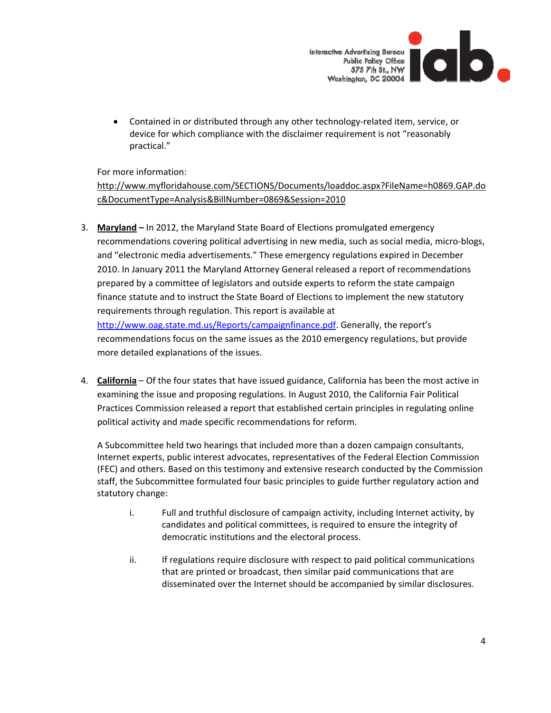

• Contained in or distributed through any other technology-related item, service, or device for which compliance with the disclaimer requirement is not "reasonably practical."

For more information:

[http://www.myfloridahouse.com/SECTIONS/Documents/loaddoc.aspx?FileName=h0869.GAP.do](http://www.myfloridahouse.com/SECTIONS/Documents/loaddoc.aspx?FileName=h0869.GAP.doc&DocumentType=Analysis&BillNumber=0869&Session=2010) [c&DocumentType=Analysis&BillNumber=0869&Session=2010](http://www.myfloridahouse.com/SECTIONS/Documents/loaddoc.aspx?FileName=h0869.GAP.doc&DocumentType=Analysis&BillNumber=0869&Session=2010)

- 3. **Maryland –** In 2012, the Maryland State Board of Elections promulgated emergency recommendations covering political advertising in new media, such as social media, micro‐blogs, and "electronic media advertisements." These emergency regulations expired in December 2010. In January 2011 the Maryland Attorney General released a report of recommendations prepared by a committee of legislators and outside experts to reform the state campaign finance statute and to instruct the State Board of Elections to implement the new statutory requirements through regulation. This report is available at <http://www.oag.state.md.us/Reports/campaignfinance.pdf>. Generally, the report's recommendations focus on the same issues as the 2010 emergency regulations, but provide more detailed explanations of the issues.
- 4. **California** Of the four states that have issued guidance, California has been the most active in examining the issue and proposing regulations. In August 2010, the California Fair Political Practices Commission released a report that established certain principles in regulating online political activity and made specific recommendations for reform.

A Subcommittee held two hearings that included more than a dozen campaign consultants, Internet experts, public interest advocates, representatives of the Federal Election Commission (FEC) and others. Based on this testimony and extensive research conducted by the Commission staff, the Subcommittee formulated four basic principles to guide further regulatory action and statutory change:

- i. Full and truthful disclosure of campaign activity, including Internet activity, by candidates and political committees, is required to ensure the integrity of democratic institutions and the electoral process.
- ii. If regulations require disclosure with respect to paid political communications that are printed or broadcast, then similar paid communications that are disseminated over the Internet should be accompanied by similar disclosures.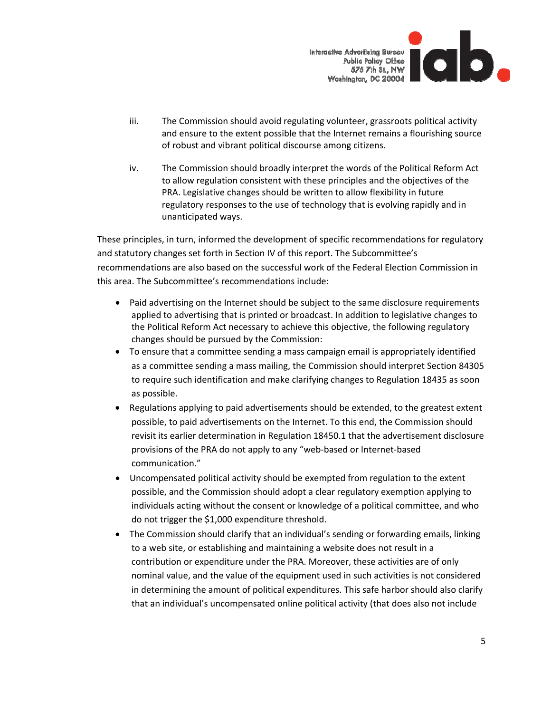

- iii. The Commission should avoid regulating volunteer, grassroots political activity and ensure to the extent possible that the Internet remains a flourishing source of robust and vibrant political discourse among citizens.
- iv. The Commission should broadly interpret the words of the Political Reform Act to allow regulation consistent with these principles and the objectives of the PRA. Legislative changes should be written to allow flexibility in future regulatory responses to the use of technology that is evolving rapidly and in unanticipated ways.

These principles, in turn, informed the development of specific recommendations for regulatory and statutory changes set forth in Section IV of this report. The Subcommittee's recommendations are also based on the successful work of the Federal Election Commission in this area. The Subcommittee's recommendations include:

- Paid advertising on the Internet should be subject to the same disclosure requirements applied to advertising that is printed or broadcast. In addition to legislative changes to the Political Reform Act necessary to achieve this objective, the following regulatory changes should be pursued by the Commission:
- To ensure that a committee sending a mass campaign email is appropriately identified as a committee sending a mass mailing, the Commission should interpret Section 84305 to require such identification and make clarifying changes to Regulation 18435 as soon as possible.
- Regulations applying to paid advertisements should be extended, to the greatest extent possible, to paid advertisements on the Internet. To this end, the Commission should revisit its earlier determination in Regulation 18450.1 that the advertisement disclosure provisions of the PRA do not apply to any "web‐based or Internet‐based communication."
- Uncompensated political activity should be exempted from regulation to the extent possible, and the Commission should adopt a clear regulatory exemption applying to individuals acting without the consent or knowledge of a political committee, and who do not trigger the \$1,000 expenditure threshold.
- The Commission should clarify that an individual's sending or forwarding emails, linking to a web site, or establishing and maintaining a website does not result in a contribution or expenditure under the PRA. Moreover, these activities are of only nominal value, and the value of the equipment used in such activities is not considered in determining the amount of political expenditures. This safe harbor should also clarify that an individual's uncompensated online political activity (that does also not include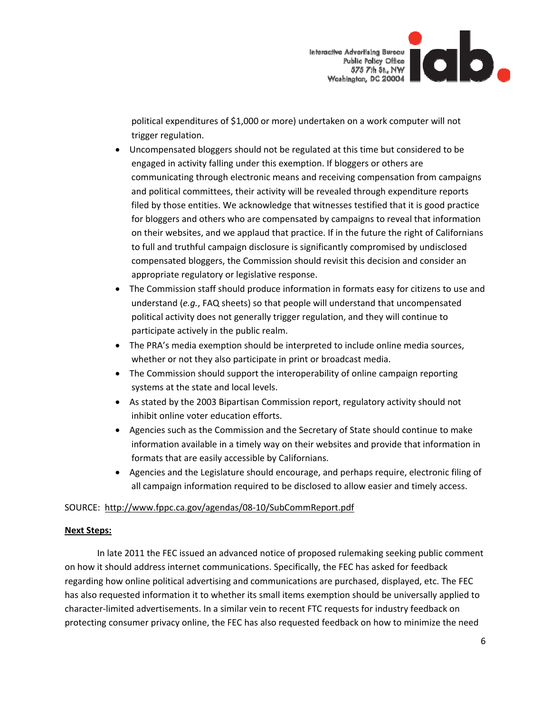

political expenditures of \$1,000 or more) undertaken on a work computer will not trigger regulation.

- Uncompensated bloggers should not be regulated at this time but considered to be engaged in activity falling under this exemption. If bloggers or others are communicating through electronic means and receiving compensation from campaigns and political committees, their activity will be revealed through expenditure reports filed by those entities. We acknowledge that witnesses testified that it is good practice for bloggers and others who are compensated by campaigns to reveal that information on their websites, and we applaud that practice. If in the future the right of Californians to full and truthful campaign disclosure is significantly compromised by undisclosed compensated bloggers, the Commission should revisit this decision and consider an appropriate regulatory or legislative response.
- The Commission staff should produce information in formats easy for citizens to use and understand (*e.g.*, FAQ sheets) so that people will understand that uncompensated political activity does not generally trigger regulation, and they will continue to participate actively in the public realm.
- The PRA's media exemption should be interpreted to include online media sources, whether or not they also participate in print or broadcast media.
- The Commission should support the interoperability of online campaign reporting systems at the state and local levels.
- As stated by the 2003 Bipartisan Commission report, regulatory activity should not inhibit online voter education efforts.
- Agencies such as the Commission and the Secretary of State should continue to make information available in a timely way on their websites and provide that information in formats that are easily accessible by Californians.
- Agencies and the Legislature should encourage, and perhaps require, electronic filing of all campaign information required to be disclosed to allow easier and timely access.

# SOURCE: [http://www.fppc.ca.gov/agendas/08](http://www.fppc.ca.gov/agendas/08-10/SubCommReport.pdf)‐10/SubCommReport.pdf

## **Next Steps:**

In late 2011 the FEC issued an advanced notice of proposed rulemaking seeking public comment on how it should address internet communications. Specifically, the FEC has asked for feedback regarding how online political advertising and communications are purchased, displayed, etc. The FEC has also requested information it to whether its small items exemption should be universally applied to character‐limited advertisements. In a similar vein to recent FTC requests for industry feedback on protecting consumer privacy online, the FEC has also requested feedback on how to minimize the need